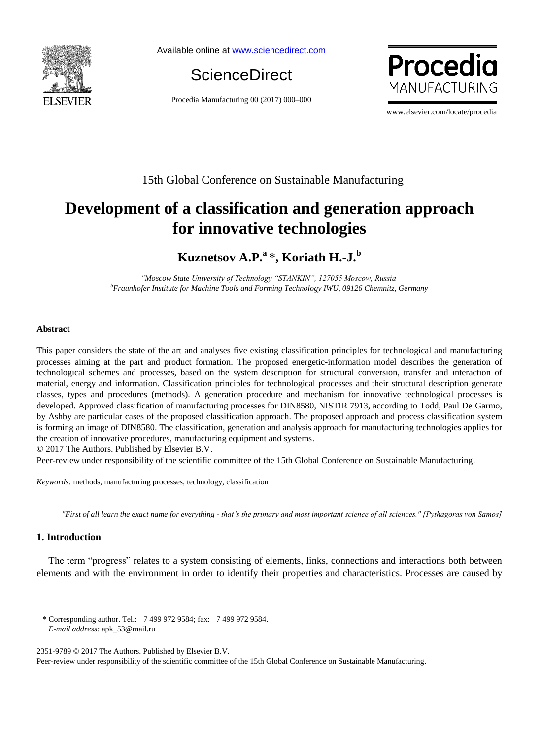

Available online at [www.sciencedirect.com](http://www.sciencedirect.com/science/journal/22120173)



Procedia Manufacturing 00 (2017) 000–000



www.elsevier.com/locate/procedia

# 15th Global Conference on Sustainable Manufacturing

# **Development of a classification and generation approach for innovative technologies**

**Kuznetsov A.P.<sup>a</sup>** \***, Koriath H.-J.<sup>b</sup>**

*<sup>a</sup>Moscow State University of Technology "STANKIN", 127055 Moscow, Russia <sup>b</sup>Fraunhofer Institute for Machine Tools and Forming Technology IWU, 09126 Chemnitz, Germany*

#### **Abstract**

This paper considers the state of the art and analyses five existing classification principles for technological and manufacturing processes aiming at the part and product formation. The proposed energetic-information model describes the generation of technological schemes and processes, based on the system description for structural conversion, transfer and interaction of material, energy and information. Classification principles for technological processes and their structural description generate classes, types and procedures (methods). A generation procedure and mechanism for innovative technological processes is developed. Approved classification of manufacturing processes for DIN8580, NISTIR 7913, according to Todd, Paul De Garmo, by Ashby are particular cases of the proposed classification approach. The proposed approach and process classification system is forming an image of DIN8580. The classification, generation and analysis approach for manufacturing technologies applies for the creation of innovative procedures, manufacturing equipment and systems.

© 2017 The Authors. Published by Elsevier B.V.

Peer-review under responsibility of the scientific committee of the 15th Global Conference on Sustainable Manufacturing.

*Keywords:* methods, manufacturing processes, technology, classification

*"First of all learn the exact name for everything - that's the primary and most important science of all sciences." [Pythagoras von Samos]*

## **1. Introduction**

The term "progress" relates to a system consisting of elements, links, connections and interactions both between elements and with the environment in order to identify their properties and characteristics. Processes are caused by

\* Corresponding author. Tel.: +7 499 972 9584; fax: +7 499 972 9584. *E-mail address:* apk\_53@mail.ru

2351-9789 © 2017 The Authors. Published by Elsevier B.V. Peer-review under responsibility of the scientific committee of the 15th Global Conference on Sustainable Manufacturing.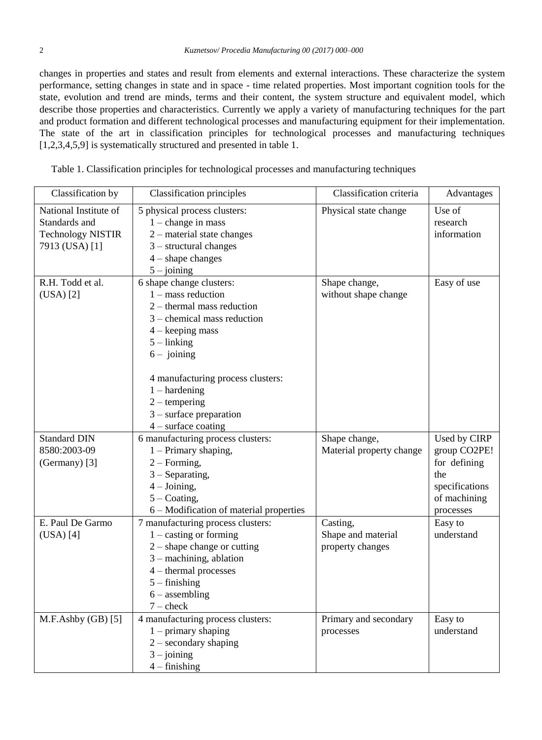changes in properties and states and result from elements and external interactions. These characterize the system performance, setting changes in state and in space - time related properties. Most important cognition tools for the state, evolution and trend are minds, terms and their content, the system structure and equivalent model, which describe those properties and characteristics. Currently we apply a variety of manufacturing techniques for the part and product formation and different technological processes and manufacturing equipment for their implementation. The state of the art in classification principles for technological processes and manufacturing techniques [1,2,3,4,5,9] is systematically structured and presented in table 1.

| Classification by        | <b>Classification principles</b>        | Classification criteria  | Advantages     |
|--------------------------|-----------------------------------------|--------------------------|----------------|
| National Institute of    | 5 physical process clusters:            | Physical state change    | Use of         |
| Standards and            | $1$ – change in mass                    |                          | research       |
| <b>Technology NISTIR</b> | $2$ – material state changes            |                          | information    |
| 7913 (USA) [1]           | $3$ – structural changes                |                          |                |
|                          | $4$ – shape changes                     |                          |                |
|                          | $5 - joining$                           |                          |                |
| R.H. Todd et al.         | 6 shape change clusters:                | Shape change,            | Easy of use    |
| (USA) [2]                | $1 - \text{mass reduction}$             | without shape change     |                |
|                          | $2$ – thermal mass reduction            |                          |                |
|                          | $3$ – chemical mass reduction           |                          |                |
|                          | $4 -$ keeping mass                      |                          |                |
|                          | $5 - linking$                           |                          |                |
|                          | $6 -$ joining                           |                          |                |
|                          |                                         |                          |                |
|                          | 4 manufacturing process clusters:       |                          |                |
|                          | $1 - hardening$                         |                          |                |
|                          | $2$ – tempering                         |                          |                |
|                          | $3$ – surface preparation               |                          |                |
|                          | $4 - surface coating$                   |                          |                |
| <b>Standard DIN</b>      | 6 manufacturing process clusters:       | Shape change,            | Used by CIRP   |
| 8580:2003-09             | $1 -$ Primary shaping,                  | Material property change | group CO2PE!   |
| (Germany) [3]            | $2 - Forming,$                          |                          | for defining   |
|                          | $3 -$ Separating,                       |                          | the            |
|                          | $4 -$ Joining,                          |                          | specifications |
|                          | $5 - Coating,$                          |                          | of machining   |
|                          | 6 - Modification of material properties |                          |                |
| E. Paul De Garmo         |                                         |                          | processes      |
|                          | 7 manufacturing process clusters:       | Casting,                 | Easy to        |
| (USA) [4]                | $1 -$ casting or forming                | Shape and material       | understand     |
|                          | $2$ – shape change or cutting           | property changes         |                |
|                          | $3$ – machining, ablation               |                          |                |
|                          | 4 - thermal processes                   |                          |                |
|                          | $5 -$ finishing                         |                          |                |
|                          | $6 -$ assembling                        |                          |                |
|                          | $7$ – check                             |                          |                |
| $M.F.Ashby$ (GB) [5]     | 4 manufacturing process clusters:       | Primary and secondary    | Easy to        |
|                          | $1$ – primary shaping                   | processes                | understand     |
|                          | $2$ – secondary shaping                 |                          |                |
|                          | $3 - joining$                           |                          |                |
|                          | $4 -$ finishing                         |                          |                |

Table 1. Classification principles for technological processes and manufacturing techniques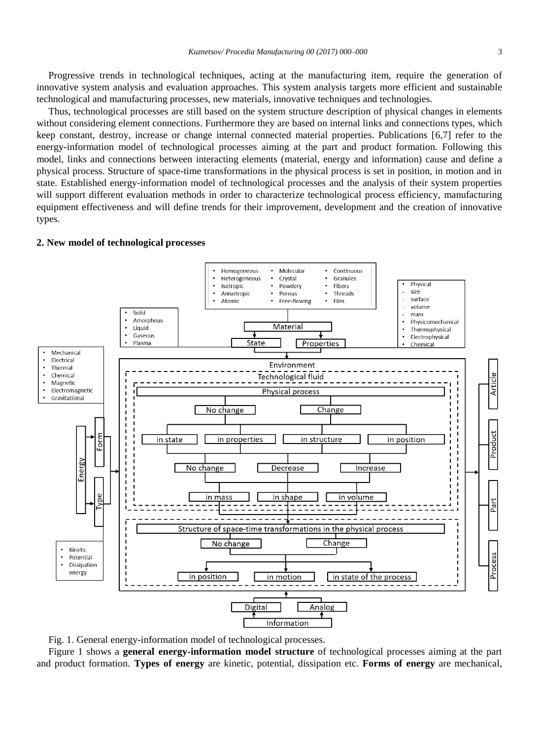Progressive trends in technological techniques, acting at the manufacturing item, require the generation of innovative system analysis and evaluation approaches. This system analysis targets more efficient and sustainable technological and manufacturing processes, new materials, innovative techniques and technologies.

Thus, technological processes are still based on the system structure description of physical changes in elements without considering element connections. Furthermore they are based on internal links and connections types, which keep constant, destroy, increase or change internal connected material properties. Publications [6,7] refer to the energy-information model of technological processes aiming at the part and product formation. Following this model, links and connections between interacting elements (material, energy and information) cause and define a physical process. Structure of space-time transformations in the physical process is set in position, in motion and in state. Established energy-information model of technological processes and the analysis of their system properties will support different evaluation methods in order to characterize technological process efficiency, manufacturing equipment effectiveness and will define trends for their improvement, development and the creation of innovative types.



#### **2. New model of technological processes**

Fig. 1. General energy-information model of technological processes.

Figure 1 shows a **general energy-information model structure** of technological processes aiming at the part and product formation. **Types of energy** are kinetic, potential, dissipation etc. **Forms of energy** are mechanical,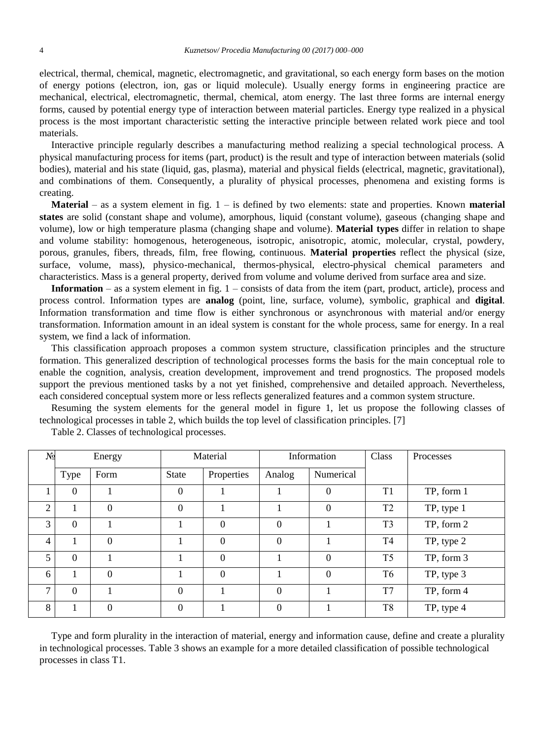electrical, thermal, chemical, magnetic, electromagnetic, and gravitational, so each energy form bases on the motion of energy potions (electron, ion, gas or liquid molecule). Usually energy forms in engineering practice are mechanical, electrical, electromagnetic, thermal, chemical, atom energy. The last three forms are internal energy forms, caused by potential energy type of interaction between material particles. Energy type realized in a physical process is the most important characteristic setting the interactive principle between related work piece and tool materials.

Interactive principle regularly describes a manufacturing method realizing a special technological process. A physical manufacturing process for items (part, product) is the result and type of interaction between materials (solid bodies), material and his state (liquid, gas, plasma), material and physical fields (electrical, magnetic, gravitational), and combinations of them. Consequently, a plurality of physical processes, phenomena and existing forms is creating.

**Material** – as a system element in fig. 1 – is defined by two elements: state and properties. Known **material states** are solid (constant shape and volume), amorphous, liquid (constant volume), gaseous (changing shape and volume), low or high temperature plasma (changing shape and volume). **Material types** differ in relation to shape and volume stability: homogenous, heterogeneous, isotropic, anisotropic, atomic, molecular, crystal, powdery, porous, granules, fibers, threads, film, free flowing, continuous. **Material properties** reflect the physical (size, surface, volume, mass), physico-mechanical, thermos-physical, electro-physical chemical parameters and characteristics. Mass is a general property, derived from volume and volume derived from surface area and size.

**Information** – as a system element in fig. 1 – consists of data from the item (part, product, article), process and process control. Information types are **analog** (point, line, surface, volume), symbolic, graphical and **digital**. Information transformation and time flow is either synchronous or asynchronous with material and/or energy transformation. Information amount in an ideal system is constant for the whole process, same for energy. In a real system, we find a lack of information.

This classification approach proposes a common system structure, classification principles and the structure formation. This generalized description of technological processes forms the basis for the main conceptual role to enable the cognition, analysis, creation development, improvement and trend prognostics. The proposed models support the previous mentioned tasks by a not yet finished, comprehensive and detailed approach. Nevertheless, each considered conceptual system more or less reflects generalized features and a common system structure.

Resuming the system elements for the general model in figure 1, let us propose the following classes of technological processes in table 2, which builds the top level of classification principles. [7]

| N <sub>2</sub> | Energy   |          |              | Material   |          | Information | Class          | Processes  |
|----------------|----------|----------|--------------|------------|----------|-------------|----------------|------------|
|                | Type     | Form     | <b>State</b> | Properties | Analog   | Numerical   |                |            |
|                | $\Omega$ |          | $\Omega$     |            |          | $\Omega$    | T <sub>1</sub> | TP, form 1 |
| 2              |          | $\Omega$ | $\Omega$     |            |          | $\Omega$    | T <sub>2</sub> | TP, type 1 |
| 3              | $\Omega$ |          |              | $\theta$   | $\Omega$ |             | T <sub>3</sub> | TP, form 2 |
| $\overline{4}$ |          | $\theta$ |              | $\theta$   | $\Omega$ |             | T <sub>4</sub> | TP, type 2 |
| $\mathfrak{H}$ | $\Omega$ |          |              | $\theta$   |          | $\Omega$    | T <sub>5</sub> | TP, form 3 |
| 6              |          | $\Omega$ |              | $\Omega$   |          | $\theta$    | T <sub>6</sub> | TP, type 3 |
| $\mathcal{I}$  | $\Omega$ |          | $\mathbf{0}$ |            | $\Omega$ |             | T7             | TP, form 4 |
| 8              |          | $\theta$ | $\Omega$     |            | $\Omega$ |             | T <sub>8</sub> | TP, type 4 |

Table 2. Classes of technological processes.

Type and form plurality in the interaction of material, energy and information cause, define and create a plurality in technological processes. Table 3 shows an example for a more detailed classification of possible technological processes in class T1.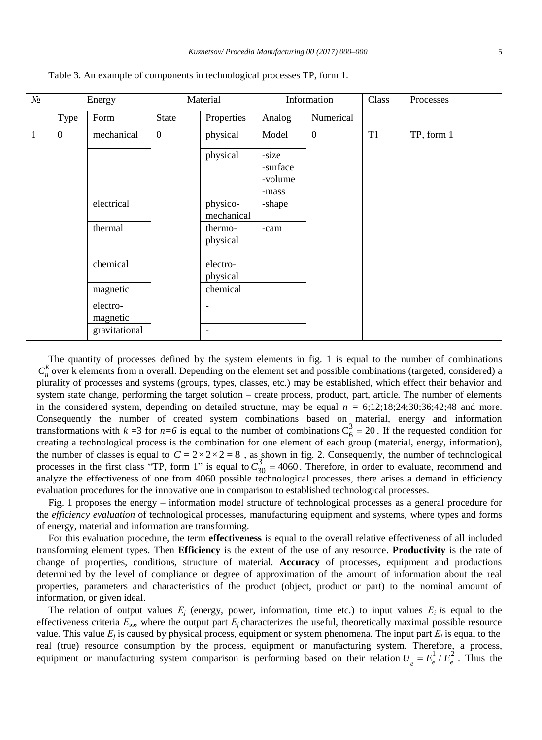| $N_{\!2}$    | Energy       |                      | Material         |                          | Information                           |              | Class | Processes  |
|--------------|--------------|----------------------|------------------|--------------------------|---------------------------------------|--------------|-------|------------|
|              | Type         | Form                 | <b>State</b>     | Properties               | Analog                                | Numerical    |       |            |
| $\mathbf{1}$ | $\mathbf{0}$ | mechanical           | $\boldsymbol{0}$ | physical                 | Model                                 | $\mathbf{0}$ | T1    | TP, form 1 |
|              |              |                      |                  | physical                 | -size<br>-surface<br>-volume<br>-mass |              |       |            |
|              |              | electrical           |                  | physico-<br>mechanical   | -shape                                |              |       |            |
|              |              | thermal              |                  | thermo-<br>physical      | -cam                                  |              |       |            |
|              |              | chemical             |                  | electro-<br>physical     |                                       |              |       |            |
|              |              | magnetic             |                  | chemical                 |                                       |              |       |            |
|              |              | electro-<br>magnetic |                  | $\overline{\phantom{a}}$ |                                       |              |       |            |
|              |              | gravitational        |                  | $\overline{\phantom{a}}$ |                                       |              |       |            |

Table 3. An example of components in technological processes TP, form 1.

The quantity of processes defined by the system elements in fig. 1 is equal to the number of combinations  $C_n^k$  over k elements from n overall. Depending on the element set and possible combinations (targeted, considered) a plurality of processes and systems (groups, types, classes, etc.) may be established, which effect their behavior and system state change, performing the target solution – create process, product, part, article. The number of elements in the considered system, depending on detailed structure, may be equal  $n = 6,12,18,24,30,36,42,48$  and more. Consequently the number of created system combinations based on material, energy and information transformations with  $k = 3$  for  $n=6$  is equal to the number of combinations  $C_6^3 = 20$ . If the requested condition for creating a technological process is the combination for one element of each group (material, energy, information), the number of classes is equal to  $C = 2 \times 2 \times 2 = 8$ , as shown in fig. 2. Consequently, the number of technological processes in the first class "TP, form 1" is equal to  $C_{30}^3$  = 4060. Therefore, in order to evaluate, recommend and analyze the effectiveness of one from 4060 possible technological processes, there arises a demand in efficiency evaluation procedures for the innovative one in comparison to established technological processes.

Fig. 1 proposes the energy – information model structure of technological processes as a general procedure for the *efficiency evaluation* of technological processes, manufacturing equipment and systems, where types and forms of energy, material and information are transforming.

For this evaluation procedure, the term **effectiveness** is equal to the overall relative effectiveness of all included transforming element types. Then **Efficiency** is the extent of the use of any resource. **Productivity** is the rate of change of properties, conditions, structure of material. **Accuracy** of processes, equipment and productions determined by the level of compliance or degree of approximation of the amount of information about the real properties, parameters and characteristics of the product (object, product or part) to the nominal amount of information, or given ideal.

The relation of output values  $E_j$  (energy, power, information, time etc.) to input values  $E_i$  is equal to the effectiveness criteria  $E_{33}$ , where the output part  $E_i$  characterizes the useful, theoretically maximal possible resource value. This value  $E_j$  is caused by physical process, equipment or system phenomena. The input part  $E_i$  is equal to the real (true) resource consumption by the process, equipment or manufacturing system. Therefore, a process, equipment or manufacturing system comparison is performing based on their relation  $U_e = E_e^1 / E_e^2$ . Thus the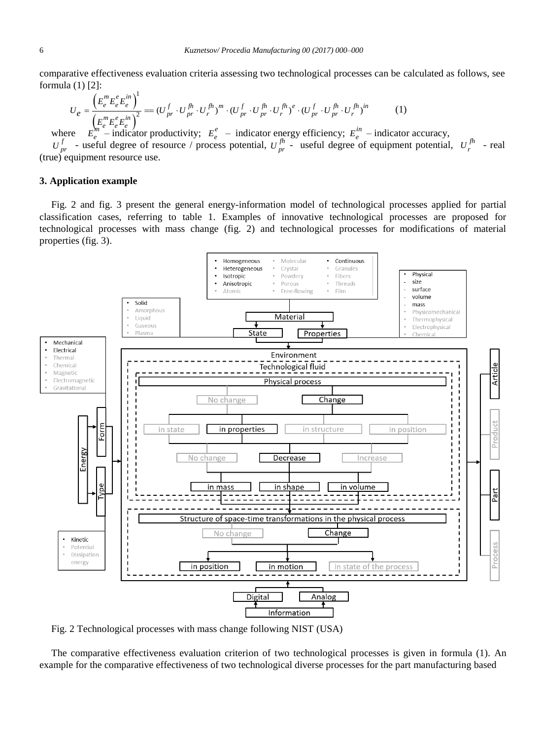comparative effectiveness evaluation criteria assessing two technological processes can be calculated as follows, see<br>
formula (1) [2]:<br>  $U = \frac{\left(E_e^m E_e^e E_e^{in}\right)^1}{U} = (U_f^f \cdot U_f^{fh} U_f^{fh})^m \cdot (U_f^f \cdot U_f^{fh} U_f^{fh})^e \cdot (U_f^f \cdot U_f^{fh})^m}$ formula (1) [2]:  $\overline{1}$  $\sum_{i=1}^{m} E_i^e E_i^i$ 

mula (1) [2]:  
\n
$$
U_e = \frac{\left(E_e^m E_e^e E_e^{\text{in}}\right)^1}{\left(E_e^m E_e^e E_e^{\text{in}}\right)^2} = (U_{pr}^f \cdot U_{pr}^{fh} \cdot U_r^{fh})^m \cdot (U_{pr}^f \cdot U_{pr}^{fh} \cdot U_r^{fh})^e \cdot (U_{pr}^f \cdot U_{pr}^{fh} \cdot U_r^{fh})^m
$$
\nwhere  $E_e^m$  - indicator productivity;  $E_e^e$  - indicator energy efficiency;  $E_e^m$  - indicator

 $E_e^{\{m\ e}$  – indicator productivity;  $E_e^e$  $E_e^e$  – indicator energy efficiency;  $E_e^{in}$ where  $E_e^m$  – indicator productivity;  $E_e^e$  – indicator energy efficiency;  $E_e^m$  – indicator accuracy,<br>  $U_{pr}^f$  - useful degree of resource / process potential,  $U_{pr}^{fh}$  - useful degree of equipment potential,  $U_r^{fh}$ 

(true) equipment resource use.

# **3. Application example**

Fig. 2 and fig. 3 present the general energy-information model of technological processes applied for partial classification cases, referring to table 1. Examples of innovative technological processes are proposed for technological processes with mass change (fig. 2) and technological processes for modifications of material properties (fig. 3).



Fig. 2 Technological processes with mass change following NIST (USA)

The comparative effectiveness evaluation criterion of two technological processes is given in formula (1). An example for the comparative effectiveness of two technological diverse processes for the part manufacturing based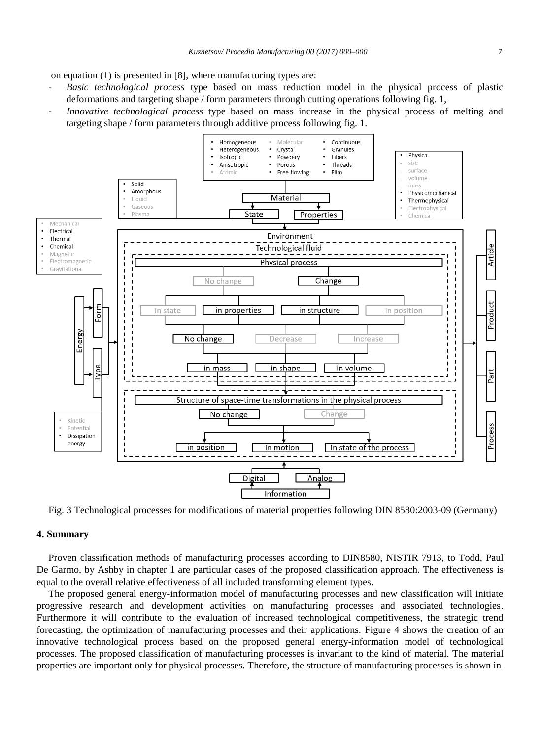on equation (1) is presented in [8], where manufacturing types are:

- *Basic technological process* type based on mass reduction model in the physical process of plastic deformations and targeting shape / form parameters through cutting operations following fig. 1,
- *Innovative technological process* type based on mass increase in the physical process of melting and targeting shape / form parameters through additive process following fig. 1.



Fig. 3 Technological processes for modifications of material properties following DIN 8580:2003-09 (Germany)

#### **4. Summary**

Proven classification methods of manufacturing processes according to DIN8580, NISTIR 7913, to Todd, Paul De Garmo, by Ashby in chapter 1 are particular cases of the proposed classification approach. The effectiveness is equal to the overall relative effectiveness of all included transforming element types.

The proposed general energy-information model of manufacturing processes and new classification will initiate progressive research and development activities on manufacturing processes and associated technologies. Furthermore it will contribute to the evaluation of increased technological competitiveness, the strategic trend forecasting, the optimization of manufacturing processes and their applications. Figure 4 shows the creation of an innovative technological process based on the proposed general energy-information model of technological processes. The proposed classification of manufacturing processes is invariant to the kind of material. The material properties are important only for physical processes. Therefore, the structure of manufacturing processes is shown in